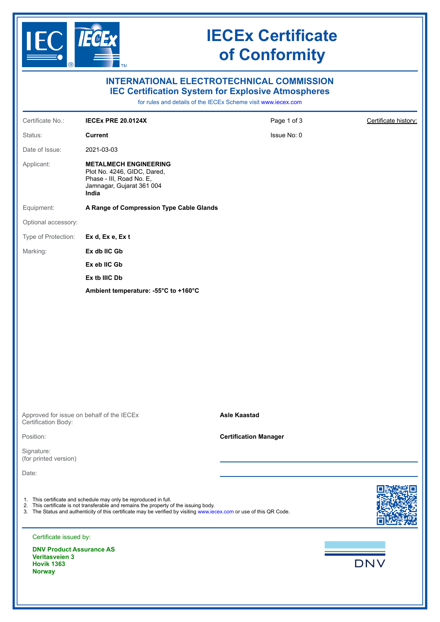

# **IECEx Certificate of Conformity**

| <b>INTERNATIONAL ELECTROTECHNICAL COMMISSION</b><br><b>IEC Certification System for Explosive Atmospheres</b><br>for rules and details of the IECEx Scheme visit www.iecex.com |                                                                                                                                                                                                                                                                                   |                              |                      |  |  |  |  |
|--------------------------------------------------------------------------------------------------------------------------------------------------------------------------------|-----------------------------------------------------------------------------------------------------------------------------------------------------------------------------------------------------------------------------------------------------------------------------------|------------------------------|----------------------|--|--|--|--|
| Certificate No.:                                                                                                                                                               | <b>IECEx PRE 20.0124X</b>                                                                                                                                                                                                                                                         | Page 1 of 3                  | Certificate history: |  |  |  |  |
| Status:                                                                                                                                                                        | <b>Current</b>                                                                                                                                                                                                                                                                    | Issue No: 0                  |                      |  |  |  |  |
| Date of Issue:                                                                                                                                                                 | 2021-03-03                                                                                                                                                                                                                                                                        |                              |                      |  |  |  |  |
| Applicant:                                                                                                                                                                     | <b>METALMECH ENGINEERING</b><br>Plot No. 4246, GIDC, Dared,<br>Phase - III, Road No. E,<br>Jamnagar, Gujarat 361 004<br>India                                                                                                                                                     |                              |                      |  |  |  |  |
| Equipment:                                                                                                                                                                     | A Range of Compression Type Cable Glands                                                                                                                                                                                                                                          |                              |                      |  |  |  |  |
| Optional accessory:                                                                                                                                                            |                                                                                                                                                                                                                                                                                   |                              |                      |  |  |  |  |
| Type of Protection:                                                                                                                                                            | Ex d, Ex e, Ex t                                                                                                                                                                                                                                                                  |                              |                      |  |  |  |  |
| Marking:                                                                                                                                                                       | Ex db IIC Gb                                                                                                                                                                                                                                                                      |                              |                      |  |  |  |  |
|                                                                                                                                                                                | Ex eb IIC Gb                                                                                                                                                                                                                                                                      |                              |                      |  |  |  |  |
|                                                                                                                                                                                | Ex tb IIIC Db                                                                                                                                                                                                                                                                     |                              |                      |  |  |  |  |
|                                                                                                                                                                                | Ambient temperature: - 55°C to +160°C                                                                                                                                                                                                                                             |                              |                      |  |  |  |  |
|                                                                                                                                                                                |                                                                                                                                                                                                                                                                                   |                              |                      |  |  |  |  |
| Approved for issue on behalf of the IECEx<br>Certification Body:                                                                                                               |                                                                                                                                                                                                                                                                                   | <b>Asle Kaastad</b>          |                      |  |  |  |  |
| Position:                                                                                                                                                                      |                                                                                                                                                                                                                                                                                   | <b>Certification Manager</b> |                      |  |  |  |  |
| Signature:<br>(for printed version)                                                                                                                                            |                                                                                                                                                                                                                                                                                   |                              |                      |  |  |  |  |
| Date:                                                                                                                                                                          |                                                                                                                                                                                                                                                                                   |                              |                      |  |  |  |  |
|                                                                                                                                                                                | 1. This certificate and schedule may only be reproduced in full.<br>2. This certificate is not transferable and remains the property of the issuing body.<br>3. The Status and authenticity of this certificate may be verified by visiting www.iecex.com or use of this QR Code. |                              |                      |  |  |  |  |
| Certificate issued by:                                                                                                                                                         |                                                                                                                                                                                                                                                                                   |                              |                      |  |  |  |  |
| <b>DNV Product Assurance AS</b><br><b>Veritasveien 3</b><br><b>Hovik 1363</b><br><b>Norway</b>                                                                                 |                                                                                                                                                                                                                                                                                   |                              | <b>DNV</b>           |  |  |  |  |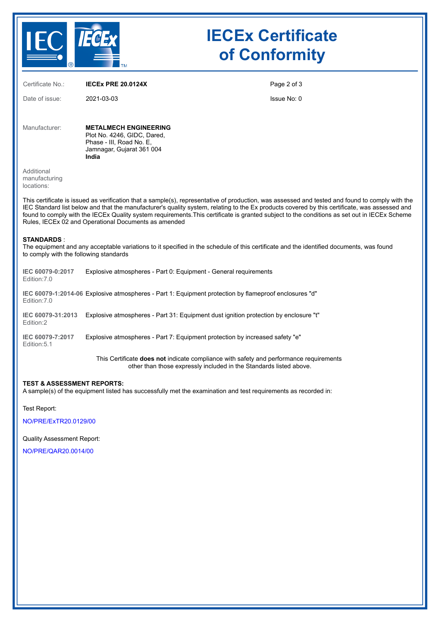

# **IECEx Certificate of Conformity**

Certificate No.: **IECEx PRE 20.0124X** Date of issue: 2021-03-03 Page 2 of 3 Issue No: 0 Manufacturer: **METALMECH ENGINEERING** Plot No. 4246, GIDC, Dared, Phase - III, Road No. E, Jamnagar, Gujarat 361 004 **India** Additional manufacturing locations: This certificate is issued as verification that a sample(s), representative of production, was assessed and tested and found to comply with the IEC Standard list below and that the manufacturer's quality system, relating to the Ex products covered by this certificate, was assessed and found to comply with the IECEx Quality system requirements.This certificate is granted subject to the conditions as set out in IECEx Scheme Rules, IECEx 02 and Operational Documents as amended **STANDARDS** : The equipment and any acceptable variations to it specified in the schedule of this certificate and the identified documents, was found to comply with the following standards **IEC 60079-0:2017** Edition:7.0 Explosive atmospheres - Part 0: Equipment - General requirements **IEC 60079-1:2014-06** Explosive atmospheres - Part 1: Equipment protection by flameproof enclosures "d" Edition:7.0 **IEC 60079-31:2013** Explosive atmospheres - Part 31: Equipment dust ignition protection by enclosure "t" Edition:2 **IEC 60079-7:2017** Edition:5.1 Explosive atmospheres - Part 7: Equipment protection by increased safety "e" This Certificate **does not** indicate compliance with safety and performance requirements other than those expressly included in the Standards listed above.

### **TEST & ASSESSMENT REPORTS:**

A sample(s) of the equipment listed has successfully met the examination and test requirements as recorded in:

Test Report:

[NO/PRE/ExTR20.0129/00](https://www.iecex-certs.com/deliverables/REPORT/69853/view)

#### Quality Assessment Report:

[NO/PRE/QAR20.0014/00](https://www.iecex-certs.com/deliverables/REPORT/69167/view)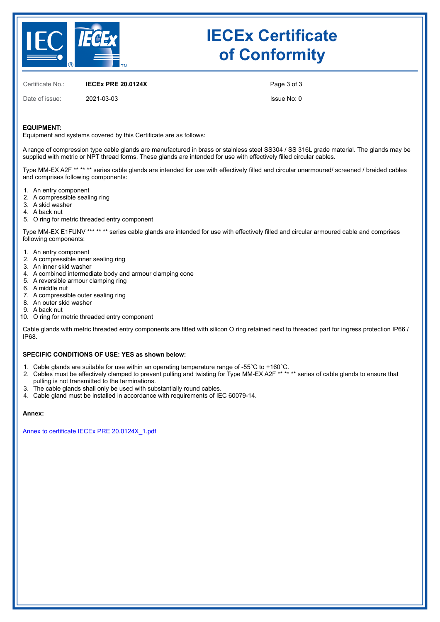

# **IECEx Certificate of Conformity**

Certificate No.: **IECEx PRE 20.0124X**

Date of issue: 2021-03-03

Page 3 of 3

Issue No: 0

### **EQUIPMENT:**

Equipment and systems covered by this Certificate are as follows:

A range of compression type cable glands are manufactured in brass or stainless steel SS304 / SS 316L grade material. The glands may be supplied with metric or NPT thread forms. These glands are intended for use with effectively filled circular cables.

Type MM-EX A2F \*\* \*\* \*\* series cable glands are intended for use with effectively filled and circular unarmoured/ screened / braided cables and comprises following components:

- 1. An entry component
- 2. A compressible sealing ring
- 3. A skid washer
- 4. A back nut
- 5. O ring for metric threaded entry component

Type MM-EX E1FUNV \*\*\* \*\* \*\* series cable glands are intended for use with effectively filled and circular armoured cable and comprises following components:

- 1. An entry component
- 2. A compressible inner sealing ring
- 3. An inner skid washer
- 4. A combined intermediate body and armour clamping cone
- 5. A reversible armour clamping ring
- 6. A middle nut
- 7. A compressible outer sealing ring
- 8. An outer skid washer
- 9. A back nut
- 10. O ring for metric threaded entry component

Cable glands with metric threaded entry components are fitted with silicon O ring retained next to threaded part for ingress protection IP66 / IP68.

### **SPECIFIC CONDITIONS OF USE: YES as shown below:**

- 1. Cable glands are suitable for use within an operating temperature range of -55°C to +160°C.
- 2. Cables must be effectively clamped to prevent pulling and twisting for Type MM-EX A2F \*\* \*\* \*\* series of cable glands to ensure that pulling is not transmitted to the terminations.
- 3. The cable glands shall only be used with substantially round cables.
- 4. Cable gland must be installed in accordance with requirements of IEC 60079-14.

### **Annex:**

[Annex to certificate IECEx PRE 20.0124X\\_1.pdf](https://www.iecex-certs.com/deliverables/CERT/51342/view)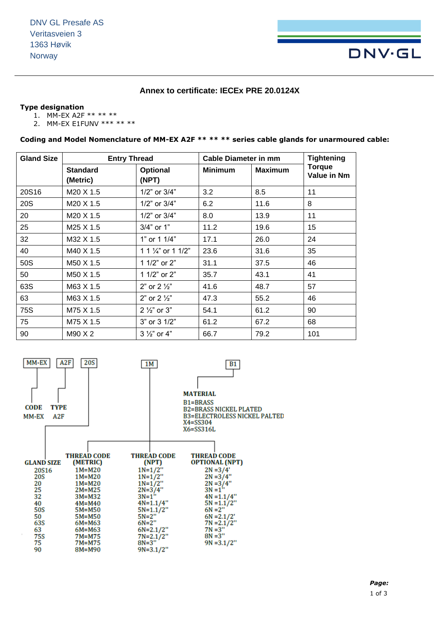# **DNV·GL**

## **Annex to certificate: IECEx PRE 20.0124X**

### **Type designation**

- 1. MM-EX A2F \*\* \*\* \*\*
- 2. MM-EX E1FUNV \*\*\* \*\* \*\*

**Coding and Model Nomenclature of MM-EX A2F \*\* \*\* \*\* series cable glands for unarmoured cable:**

| <b>Gland Size</b> | <b>Entry Thread</b>         |                               | <b>Cable Diameter in mm</b> |                | <b>Tightening</b>            |
|-------------------|-----------------------------|-------------------------------|-----------------------------|----------------|------------------------------|
|                   | <b>Standard</b><br>(Metric) | Optional<br>(NPT)             | <b>Minimum</b>              | <b>Maximum</b> | <b>Torque</b><br>Value in Nm |
| 20S16             | M20 X 1.5                   | 1/2" or 3/4"                  | 3.2                         | 8.5            | 11                           |
| 20S               | M20 X 1.5                   | $1/2$ " or $3/4$ "            | 6.2                         | 11.6           | 8                            |
| 20                | M20 X 1.5                   | 1/2" or 3/4"                  | 8.0                         | 13.9           | 11                           |
| 25                | M25 X 1.5                   | 3/4" or 1"                    | 11.2                        | 19.6           | 15                           |
| 32                | M32 X 1.5                   | 1" or 1 1/4"                  | 17.1                        | 26.0           | 24                           |
| 40                | M40 X 1.5                   | 1 1 $\frac{1}{4}$ " or 1 1/2" | 23.6                        | 31.6           | 35                           |
| 50S               | M50 X 1.5                   | 1 1/2" or 2"                  | 31.1                        | 37.5           | 46                           |
| 50                | M50 X 1.5                   | 1 1/2" or 2"                  | 35.7                        | 43.1           | 41                           |
| 63S               | M63 X 1.5                   | 2" or $2\frac{1}{2}$ "        | 41.6                        | 48.7           | 57                           |
| 63                | M63 X 1.5                   | 2" or $2\frac{1}{2}$ "        | 47.3                        | 55.2           | 46                           |
| <b>75S</b>        | M75 X 1.5                   | $2\frac{1}{2}$ or 3"          | 54.1                        | 61.2           | 90                           |
| 75                | M75 X 1.5                   | 3" or 3 1/2"                  | 61.2                        | 67.2           | 68                           |
| 90                | M90 X 2                     | $3\frac{1}{2}$ or 4"          | 66.7                        | 79.2           | 101                          |

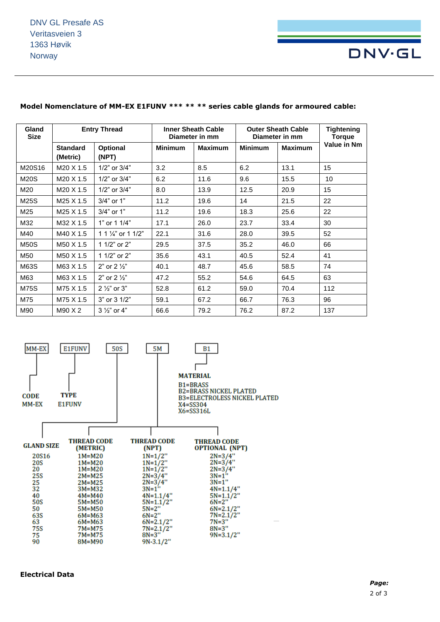

| Gland<br><b>Size</b> | <b>Entry Thread</b>         |                               | <b>Inner Sheath Cable</b><br>Diameter in mm |                | <b>Outer Sheath Cable</b><br>Diameter in mm |                | Tightening<br>Torque |
|----------------------|-----------------------------|-------------------------------|---------------------------------------------|----------------|---------------------------------------------|----------------|----------------------|
|                      | <b>Standard</b><br>(Metric) | Optional<br>(NPT)             | <b>Minimum</b>                              | <b>Maximum</b> | <b>Minimum</b>                              | <b>Maximum</b> | Value in Nm          |
| M20S16               | M20 X 1.5                   | 1/2" or 3/4"                  | 3.2                                         | 8.5            | 6.2                                         | 13.1           | 15                   |
| M20S                 | M <sub>20</sub> X 1.5       | 1/2" or 3/4"                  | 6.2                                         | 11.6           | 9.6                                         | 15.5           | 10                   |
| M20                  | M <sub>20</sub> X 1.5       | 1/2" or 3/4"                  | 8.0                                         | 13.9           | 12.5                                        | 20.9           | 15                   |
| M25S                 | M25 X 1.5                   | 3/4" or 1"                    | 11.2                                        | 19.6           | 14                                          | 21.5           | 22                   |
| M25                  | M <sub>25</sub> X 1.5       | 3/4" or 1"                    | 11.2                                        | 19.6           | 18.3                                        | 25.6           | 22                   |
| M32                  | M32 X 1.5                   | 1" or 1 1/4"                  | 17.1                                        | 26.0           | 23.7                                        | 33.4           | 30                   |
| M40                  | M40 X 1.5                   | 1 1 $\frac{1}{4}$ " or 1 1/2" | 22.1                                        | 31.6           | 28.0                                        | 39.5           | 52                   |
| <b>M50S</b>          | M50 X 1.5                   | 1 1/2" or 2"                  | 29.5                                        | 37.5           | 35.2                                        | 46.0           | 66                   |
| M50                  | M50 X 1.5                   | 1 1/2" or 2"                  | 35.6                                        | 43.1           | 40.5                                        | 52.4           | 41                   |
| M63S                 | M63 X 1.5                   | 2" or $2\frac{1}{2}$ "        | 40.1                                        | 48.7           | 45.6                                        | 58.5           | 74                   |
| M63                  | M63 X 1.5                   | 2" or $2\frac{1}{2}$ "        | 47.2                                        | 55.2           | 54.6                                        | 64.5           | 63                   |
| <b>M75S</b>          | M75 X 1.5                   | $2\frac{1}{2}$ or 3"          | 52.8                                        | 61.2           | 59.0                                        | 70.4           | 112                  |
| M75                  | M75 X 1.5                   | 3" or 3 1/2"                  | 59.1                                        | 67.2           | 66.7                                        | 76.3           | 96                   |
| M90                  | M90 X 2                     | 3 1/2" or 4"                  | 66.6                                        | 79.2           | 76.2                                        | 87.2           | 137                  |

### **Model Nomenclature of MM-EX E1FUNV \*\*\* \*\* \*\* series cable glands for armoured cable:**